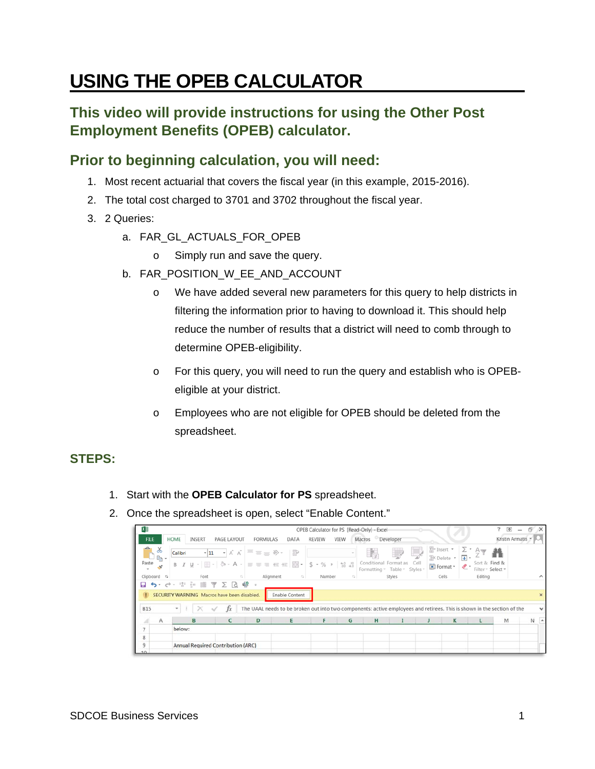# **USING THE OPEB CALCULATOR**

## **This video will provide instructions for using the Other Post Employment Benefits (OPEB) calculator.**

## **Prior to beginning calculation, you will need:**

- 1. Most recent actuarial that covers the fiscal year (in this example, 2015-2016).
- 2. The total cost charged to 3701 and 3702 throughout the fiscal year.
- 3. 2 Queries:
	- a. FAR\_GL\_ACTUALS\_FOR\_OPEB
		- o Simply run and save the query.
	- b. FAR\_POSITION\_W\_EE\_AND\_ACCOUNT
		- o We have added several new parameters for this query to help districts in filtering the information prior to having to download it. This should help reduce the number of results that a district will need to comb through to determine OPEB-eligibility.
		- o For this query, you will need to run the query and establish who is OPEBeligible at your district.
		- o Employees who are not eligible for OPEB should be deleted from the spreadsheet.

#### **STEPS:**

- 1. Start with the **OPEB Calculator for PS** spreadsheet.
- 2. Once the spreadsheet is open, select "Enable Content."

|                               |         |                     |                                                      |                                                                                                                                                                                                         |                         |               |      | OPEB Calculator for PS [Read-Only] ~ Excel |                            |      |                                                                  |                                             |                                         | 不               | $E^{\prime}$ X |          |
|-------------------------------|---------|---------------------|------------------------------------------------------|---------------------------------------------------------------------------------------------------------------------------------------------------------------------------------------------------------|-------------------------|---------------|------|--------------------------------------------|----------------------------|------|------------------------------------------------------------------|---------------------------------------------|-----------------------------------------|-----------------|----------------|----------|
| <b>FILE</b>                   | HOME    | INSERT              | PAGE LAYOUT                                          | <b>FORMULAS</b>                                                                                                                                                                                         | DATA                    | <b>REVIEW</b> | VIEW | Macros Developer                           |                            |      |                                                                  |                                             |                                         | Kristin Armatis |                |          |
| $\chi$<br>$\bigcirc$<br>Paste | Calibri |                     |                                                      | $\overline{\cdot}$  11 $\overline{\cdot}$  A´A゙ $\overline{a}$ $\overline{b}$ $\equiv$ $\equiv$ $\gg$ $\cdot$ $\approx$ $\approx$ $\approx$<br>B I U - 田 -   ⑦ - A -   三 三 三 E 王   曰 -   S - % ,   %  % |                         |               |      | 87<br>Formatting v Table v Styles          | Conditional Format as Cell | فبرط | $\frac{25}{10}$ Insert $\star$<br><b>EX Delete</b> ▼<br>Format ~ | $\Sigma$ .<br>$\overline{L}$ +<br>$\bullet$ | 譱<br>Sort & Find &<br>Filter ~ Select ~ |                 |                |          |
| Clipboard G                   |         | Font                |                                                      | Alignment                                                                                                                                                                                               | $\overline{\mathbb{Q}}$ | Number        |      |                                            | Styles                     |      | Cells                                                            |                                             | Editing                                 |                 |                | ᄉ        |
| ち・ っ ・ ゠゠゠゠<br>ы              |         |                     | 图下∑及略                                                |                                                                                                                                                                                                         |                         |               |      |                                            |                            |      |                                                                  |                                             |                                         |                 |                |          |
|                               |         |                     | <b>I</b> SECURITY WARNING Macros have been disabled. |                                                                                                                                                                                                         | <b>Enable Content</b>   |               |      |                                            |                            |      |                                                                  |                                             |                                         |                 |                | $\times$ |
| <b>B15</b>                    | $\sim$  | $\mathbb{E} \times$ | $f_X$                                                | The UAAL needs to be broken out into two components: active employees and retirees. This is shown in the section of the                                                                                 |                         |               |      |                                            |                            |      |                                                                  |                                             |                                         |                 |                | v        |
| A<br>A                        |         | B                   | C                                                    | D                                                                                                                                                                                                       |                         |               | G    | H                                          |                            |      | К                                                                |                                             |                                         | M               | $N -$          |          |
| 7                             | below:  |                     |                                                      |                                                                                                                                                                                                         |                         |               |      |                                            |                            |      |                                                                  |                                             |                                         |                 |                |          |
| 8                             |         |                     |                                                      |                                                                                                                                                                                                         |                         |               |      |                                            |                            |      |                                                                  |                                             |                                         |                 |                |          |
| 9                             |         |                     | Annual Required Contribution (ARC)                   |                                                                                                                                                                                                         |                         |               |      |                                            |                            |      |                                                                  |                                             |                                         |                 |                |          |
| $\sim$                        |         |                     |                                                      |                                                                                                                                                                                                         |                         |               |      |                                            |                            |      |                                                                  |                                             |                                         |                 |                |          |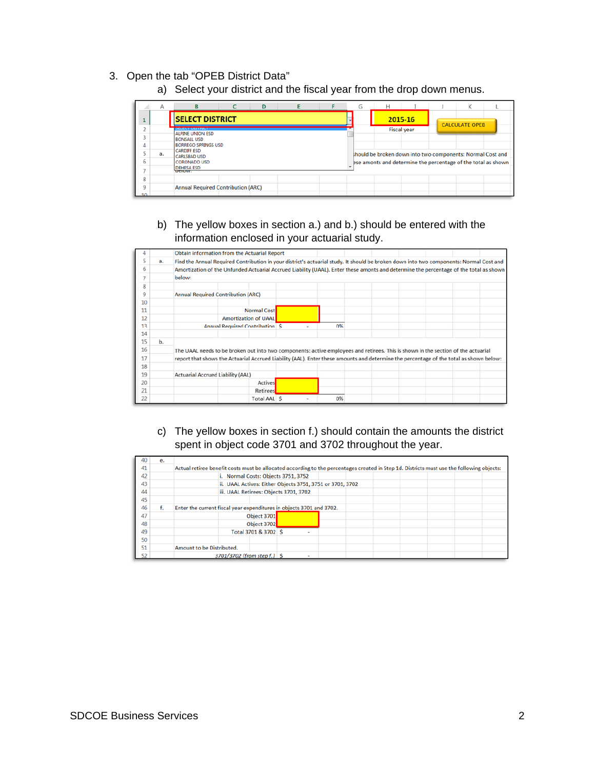- 3. Open the tab "OPEB District Data"
	- a) Select your district and the fiscal year from the drop down menus.

|             | A  | R                                                | D |  | G |                                                               | κ                     |  |
|-------------|----|--------------------------------------------------|---|--|---|---------------------------------------------------------------|-----------------------|--|
| 1           |    | <b>SELECT DISTRICT</b>                           |   |  |   | 2015-16                                                       | <b>CALCULATE OPEB</b> |  |
|             |    | <b>CLESIMORE</b><br><b>ALPINE UNION ESD</b>      |   |  |   | <b>Fiscal year</b>                                            |                       |  |
| 4           |    | <b>BONSALL USD</b><br><b>BORREGO SPRINGS USD</b> |   |  |   |                                                               |                       |  |
| è           | a. | <b>CARDIFF ESD</b>                               |   |  |   | should be broken down into two components: Normal Cost and    |                       |  |
| 6           |    | <b>CARLSBAD USD</b><br><b>CORONADO USD</b>       |   |  |   | ese amonts and determine the percentage of the total as shown |                       |  |
|             |    | <b>DEHESA ESD</b><br>DEIUW.                      |   |  |   |                                                               |                       |  |
| 8           |    |                                                  |   |  |   |                                                               |                       |  |
| 9<br>$\sim$ |    | <b>Annual Required Contribution (ARC)</b>        |   |  |   |                                                               |                       |  |

b) The yellow boxes in section a.) and b.) should be entered with the information enclosed in your actuarial study.



c) The yellow boxes in section f.) should contain the amounts the district spent in object code 3701 and 3702 throughout the year.

| 40 | e. |                                                                      |                                                                                                                                           |
|----|----|----------------------------------------------------------------------|-------------------------------------------------------------------------------------------------------------------------------------------|
| 41 |    |                                                                      | Actual retiree benefit costs must be allocated according to the percentages created in Step 1d. Districts must use the following objects: |
| 42 |    | i. Normal Costs: Objects 3751, 3752                                  |                                                                                                                                           |
| 43 |    | ii. UAAL Actives: Either Objects 3751, 3751 or 3701, 3702            |                                                                                                                                           |
| 44 |    | iii. UAAL Retirees: Objects 3701, 3702                               |                                                                                                                                           |
| 45 |    |                                                                      |                                                                                                                                           |
| 46 | f. | Enter the current fiscal year expenditures in objects 3701 and 3702. |                                                                                                                                           |
| 47 |    | Object 3701                                                          |                                                                                                                                           |
| 48 |    | Object 3702                                                          |                                                                                                                                           |
| 49 |    | Total 3701 & 3702 \$                                                 |                                                                                                                                           |
| 50 |    |                                                                      |                                                                                                                                           |
| 51 |    | Amount to be Distributed.                                            |                                                                                                                                           |
| 52 |    | 3701/3702 {from step f.} \$                                          |                                                                                                                                           |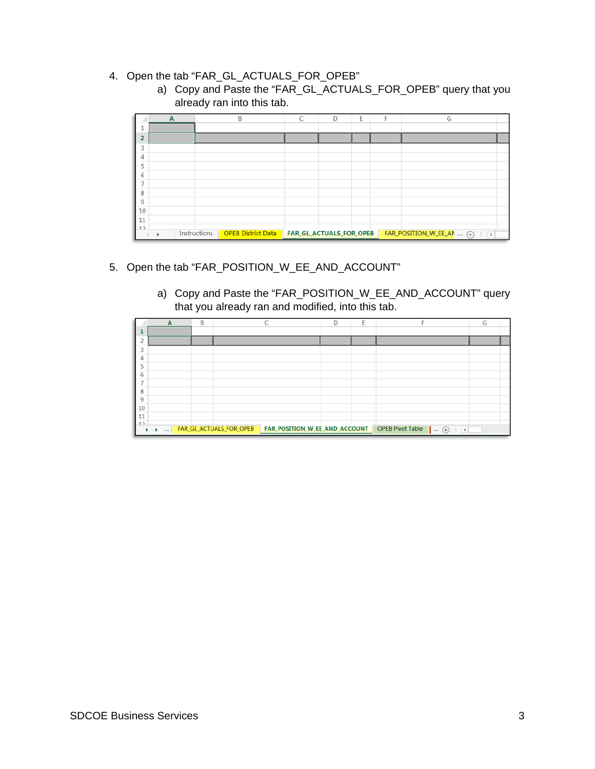### 4. Open the tab "FAR\_GL\_ACTUALS\_FOR\_OPEB"

a) Copy and Paste the "FAR\_GL\_ACTUALS\_FOR\_OPEB" query that you already ran into this tab.

|                | A |              | B                         | C | D                              | E | F | G                             |
|----------------|---|--------------|---------------------------|---|--------------------------------|---|---|-------------------------------|
|                |   |              |                           |   |                                |   |   |                               |
| $\overline{2}$ |   |              |                           |   |                                |   |   |                               |
| 3              |   |              |                           |   |                                |   |   |                               |
| 4              |   |              |                           |   |                                |   |   |                               |
| 5              |   |              |                           |   |                                |   |   |                               |
| 6              |   |              |                           |   |                                |   |   |                               |
| 7              |   |              |                           |   |                                |   |   |                               |
| 8              |   |              |                           |   |                                |   |   |                               |
| 9<br>10        |   |              |                           |   |                                |   |   |                               |
| 11             |   |              |                           |   |                                |   |   |                               |
| 12             |   |              |                           |   |                                |   |   |                               |
|                |   | Instructions | <b>OPEB District Data</b> |   | <b>FAR_GL_ACTUALS_FOR_OPEB</b> |   |   | FAR_POSITION_W_EE_AN  (+)   4 |

#### 5. Open the tab "FAR\_POSITION\_W\_EE\_AND\_ACCOUNT"

a) Copy and Paste the "FAR\_POSITION\_W\_EE\_AND\_ACCOUNT" query that you already ran and modified, into this tab.

|          | A | B |                                   |                               | D | E |                             | G |
|----------|---|---|-----------------------------------|-------------------------------|---|---|-----------------------------|---|
|          |   |   |                                   |                               |   |   |                             |   |
|          |   |   |                                   |                               |   |   |                             |   |
|          |   |   |                                   |                               |   |   |                             |   |
| 4        |   |   |                                   |                               |   |   |                             |   |
| 5        |   |   |                                   |                               |   |   |                             |   |
| 6        |   |   |                                   |                               |   |   |                             |   |
| ⇁        |   |   |                                   |                               |   |   |                             |   |
| 8        |   |   |                                   |                               |   |   |                             |   |
| 9        |   |   |                                   |                               |   |   |                             |   |
| 10       |   |   |                                   |                               |   |   |                             |   |
| 11<br>12 |   |   |                                   |                               |   |   |                             |   |
|          |   |   | <b>ACCORDINGLACTUALS_FOR_OPEB</b> | FAR_POSITION_W_EE_AND_ACCOUNT |   |   | OPEB Pivot Table    (+)   4 |   |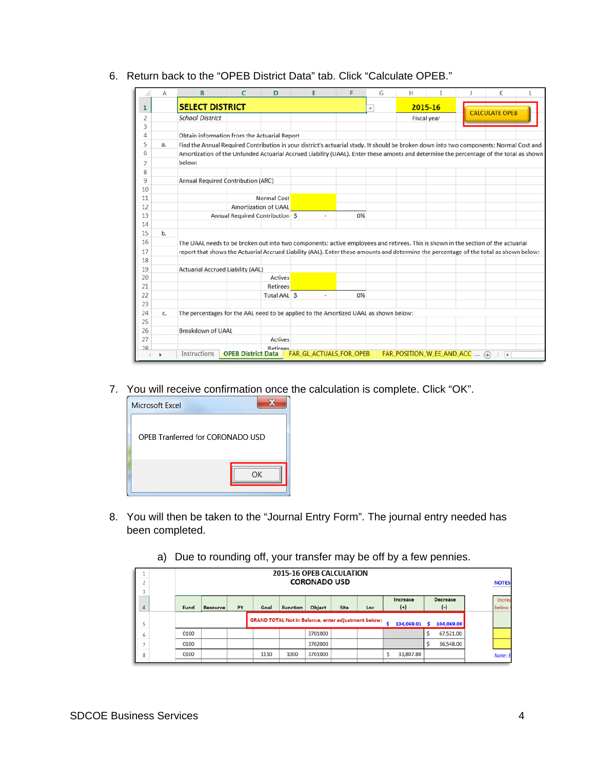|          | A              | B                                                                                                                                       | c | D                               | E | F  | G            | н |                    | K                     |  |
|----------|----------------|-----------------------------------------------------------------------------------------------------------------------------------------|---|---------------------------------|---|----|--------------|---|--------------------|-----------------------|--|
| 1        |                | <b>SELECT DISTRICT</b>                                                                                                                  |   |                                 |   |    | $\mathbf{v}$ |   | 2015-16            |                       |  |
| 2        |                | <b>School District</b>                                                                                                                  |   |                                 |   |    |              |   | <b>Fiscal year</b> | <b>CALCULATE OPEB</b> |  |
| 3        |                |                                                                                                                                         |   |                                 |   |    |              |   |                    |                       |  |
| 4        |                | Obtain information from the Actuarial Report                                                                                            |   |                                 |   |    |              |   |                    |                       |  |
| 5        | a.             | Find the Annual Required Contribution in your district's actuarial study. It should be broken down into two components: Normal Cost and |   |                                 |   |    |              |   |                    |                       |  |
| 6        |                | Amortization of the Unfunded Actuarial Accrued Liability (UAAL). Enter these amonts and determine the percentage of the total as shown  |   |                                 |   |    |              |   |                    |                       |  |
| 7        |                | below:                                                                                                                                  |   |                                 |   |    |              |   |                    |                       |  |
| 8        |                |                                                                                                                                         |   |                                 |   |    |              |   |                    |                       |  |
| 9        |                | <b>Annual Required Contribution (ARC)</b>                                                                                               |   |                                 |   |    |              |   |                    |                       |  |
| 10       |                |                                                                                                                                         |   |                                 |   |    |              |   |                    |                       |  |
| 11       |                |                                                                                                                                         |   | <b>Normal Cost</b>              |   |    |              |   |                    |                       |  |
| 12       |                |                                                                                                                                         |   | <b>Amortization of UAAL</b>     |   |    |              |   |                    |                       |  |
| 13       |                |                                                                                                                                         |   | Annual Required Contribution \$ | ٠ | 0% |              |   |                    |                       |  |
| 14       |                |                                                                                                                                         |   |                                 |   |    |              |   |                    |                       |  |
| 15       | $\mathbf{b}$ . |                                                                                                                                         |   |                                 |   |    |              |   |                    |                       |  |
| 16       |                | The UAAL needs to be broken out into two components: active employees and retirees. This is shown in the section of the actuarial       |   |                                 |   |    |              |   |                    |                       |  |
| 17       |                | report that shows the Actuarial Accrued Liability (AAL). Enter these amounts and determine the percentage of the total as shown below:  |   |                                 |   |    |              |   |                    |                       |  |
| 18       |                |                                                                                                                                         |   |                                 |   |    |              |   |                    |                       |  |
| 19       |                | <b>Actuarial Accrued Liability (AAL)</b>                                                                                                |   |                                 |   |    |              |   |                    |                       |  |
| 20       |                |                                                                                                                                         |   | <b>Actives</b>                  |   |    |              |   |                    |                       |  |
| 21       |                |                                                                                                                                         |   | <b>Retirees</b>                 |   |    |              |   |                    |                       |  |
| 22       |                |                                                                                                                                         |   | Total AAL S                     | ٠ | 0% |              |   |                    |                       |  |
| 23       |                |                                                                                                                                         |   |                                 |   |    |              |   |                    |                       |  |
| 24       | c.             | The percentages for the AAL need to be applied to the Amortized UAAL as shown below:                                                    |   |                                 |   |    |              |   |                    |                       |  |
| 25       |                |                                                                                                                                         |   |                                 |   |    |              |   |                    |                       |  |
|          |                | Breakdown of UAAL                                                                                                                       |   |                                 |   |    |              |   |                    |                       |  |
| 26       |                |                                                                                                                                         |   | Actives                         |   |    |              |   |                    |                       |  |
| 27<br>28 |                |                                                                                                                                         |   |                                 |   |    |              |   |                    |                       |  |

6. Return back to the "OPEB District Data" tab. Click "Calculate OPEB."

7. You will receive confirmation once the calculation is complete. Click "OK".



- 8. You will then be taken to the "Journal Entry Form". The journal entry needed has been completed.
	- a) Due to rounding off, your transfer may be off by a few pennies.

| $\overline{a}$<br>$\overline{a}$ | <b>2015-16 OPEB CALCULATION</b><br><b>CORONADO USD</b>                                                                                        |  |  |      |      |         |  |  |  |           |   |           |  | <b>NOTES</b>    |
|----------------------------------|-----------------------------------------------------------------------------------------------------------------------------------------------|--|--|------|------|---------|--|--|--|-----------|---|-----------|--|-----------------|
| 4                                | <b>Decrease</b><br>Increase<br>$(+)$<br>$(\cdot)$<br>PY<br><b>Site</b><br>Fund<br>Object<br><b>Resource</b><br>Goal<br><b>Function</b><br>Loc |  |  |      |      |         |  |  |  |           |   |           |  | Increa<br>below |
| 5                                | <b>GRAND TOTAL Not in Balance, enter adjustment below:</b><br>104,069.00<br>104,069.01<br>Ś                                                   |  |  |      |      |         |  |  |  |           |   |           |  |                 |
| 6                                | 0100                                                                                                                                          |  |  |      |      | 3701000 |  |  |  |           | Ŝ | 67,521.00 |  |                 |
| $\overline{\phantom{a}}$         | 0100                                                                                                                                          |  |  |      |      | 3702000 |  |  |  |           | Ś | 36,548.00 |  |                 |
| 8                                | 0100                                                                                                                                          |  |  | 1110 | 1000 | 3701000 |  |  |  | 33,807.80 |   |           |  | Note: E         |